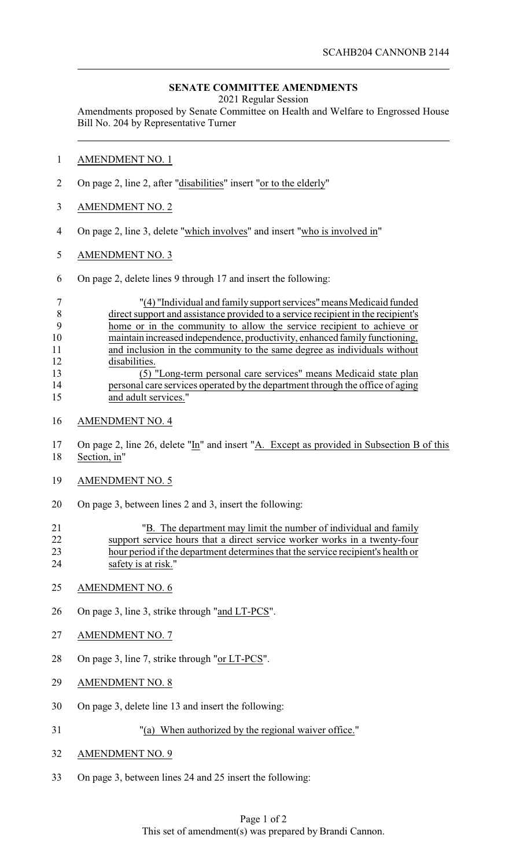## **SENATE COMMITTEE AMENDMENTS**

2021 Regular Session

Amendments proposed by Senate Committee on Health and Welfare to Engrossed House Bill No. 204 by Representative Turner

- AMENDMENT NO. 1
- 2 On page 2, line 2, after "disabilities" insert "or to the elderly"
- AMENDMENT NO. 2
- On page 2, line 3, delete "which involves" and insert "who is involved in"
- AMENDMENT NO. 3
- On page 2, delete lines 9 through 17 and insert the following:

|    | "(4) "Individual and family support services" means Medicaid funded              |
|----|----------------------------------------------------------------------------------|
|    | direct support and assistance provided to a service recipient in the recipient's |
|    | home or in the community to allow the service recipient to achieve or            |
| 10 | maintain increased independence, productivity, enhanced family functioning,      |
| 11 | and inclusion in the community to the same degree as individuals without         |
| 12 | disabilities.                                                                    |
| 13 | (5) "Long-term personal care services" means Medicaid state plan                 |
| 14 | personal care services operated by the department through the office of aging    |
| 15 | and adult services."                                                             |

- AMENDMENT NO. 4
- On page 2, line 26, delete "In" and insert "A. Except as provided in Subsection B of this Section, in"
- AMENDMENT NO. 5
- On page 3, between lines 2 and 3, insert the following:

| 21 | "B. The department may limit the number of individual and family                |
|----|---------------------------------------------------------------------------------|
| 22 | support service hours that a direct service worker works in a twenty-four       |
| 23 | hour period if the department determines that the service recipient's health or |
| 24 | safety is at risk."                                                             |

- AMENDMENT NO. 6
- 26 On page 3, line 3, strike through "and LT-PCS".
- AMENDMENT NO. 7
- On page 3, line 7, strike through "or LT-PCS".
- AMENDMENT NO. 8
- On page 3, delete line 13 and insert the following:
- "(a) When authorized by the regional waiver office."
- AMENDMENT NO. 9
- On page 3, between lines 24 and 25 insert the following: